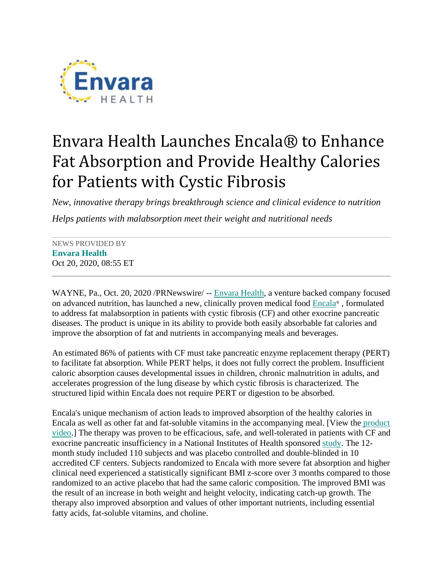

## Envara Health Launches Encala® to Enhance Fat Absorption and Provide Healthy Calories for Patients with Cystic Fibrosis

*New, innovative therapy brings breakthrough science and clinical evidence to nutrition Helps patients with malabsorption meet their weight and nutritional needs*

NEWS PROVIDED BY **[Envara Health](https://www.prnewswire.com/news/envara-health)** Oct 20, 2020, 08:55 ET

WAYNE, Pa., Oct. 20, 2020 /PRNewswire/ -- [Envara](https://c212.net/c/link/?t=0&l=en&o=2954448-1&h=823913255&u=https%3A%2F%2Fenvarahealth.com%2F&a=Envara) [Health,](https://c212.net/c/link/?t=0&l=en&o=2954448-1&h=1847943473&u=https%3A%2F%2Fenvarahealth.com%2F&a=%C2%A0Health) a venture backed company focused on advanced nutrition, has launched a new, clinically proven medical food [Encala®](https://c212.net/c/link/?t=0&l=en&o=2954448-1&h=1118380373&u=https%3A%2F%2Fwww.encala.com%2F&a=Encala) , formulated to address fat malabsorption in patients with cystic fibrosis (CF) and other exocrine pancreatic diseases. The product is unique in its ability to provide both easily absorbable fat calories and improve the absorption of fat and nutrients in accompanying meals and beverages.

An estimated 86% of patients with CF must take pancreatic enzyme replacement therapy (PERT) to facilitate fat absorption. While PERT helps, it does not fully correct the problem. Insufficient caloric absorption causes developmental issues in children, chronic malnutrition in adults, and accelerates progression of the lung disease by which cystic fibrosis is characterized. The structured lipid within Encala does not require PERT or digestion to be absorbed.

Encala's unique mechanism of action leads to improved absorption of the healthy calories in Encala as well as other fat and fat-soluble vitamins in the accompanying meal. [View the [product](https://c212.net/c/link/?t=0&l=en&o=2954448-1&h=1925228099&u=https%3A%2F%2F2mdnze47eqk9ke1602nfytt1-wpengine.netdna-ssl.com%2Fwp-content%2Fuploads%2F2020%2F09%2FEncala-MOA_MASTER.mp4&a=%C2%A0product+video)  [video.](https://c212.net/c/link/?t=0&l=en&o=2954448-1&h=1925228099&u=https%3A%2F%2F2mdnze47eqk9ke1602nfytt1-wpengine.netdna-ssl.com%2Fwp-content%2Fuploads%2F2020%2F09%2FEncala-MOA_MASTER.mp4&a=%C2%A0product+video)] The therapy was proven to be efficacious, safe, and well-tolerated in patients with CF and exocrine pancreatic insufficiency in a National Institutes of Health sponsored [study.](https://c212.net/c/link/?t=0&l=en&o=2954448-1&h=1363354986&u=https%3A%2F%2Fdoi.org%2F10.1371%2Fjournal.pone.0232685&a=study) The 12 month study included 110 subjects and was placebo controlled and double-blinded in 10 accredited CF centers. Subjects randomized to Encala with more severe fat absorption and higher clinical need experienced a statistically significant BMI z-score over 3 months compared to those randomized to an active placebo that had the same caloric composition. The improved BMI was the result of an increase in both weight and height velocity, indicating catch-up growth. The therapy also improved absorption and values of other important nutrients, including essential fatty acids, fat-soluble vitamins, and choline.